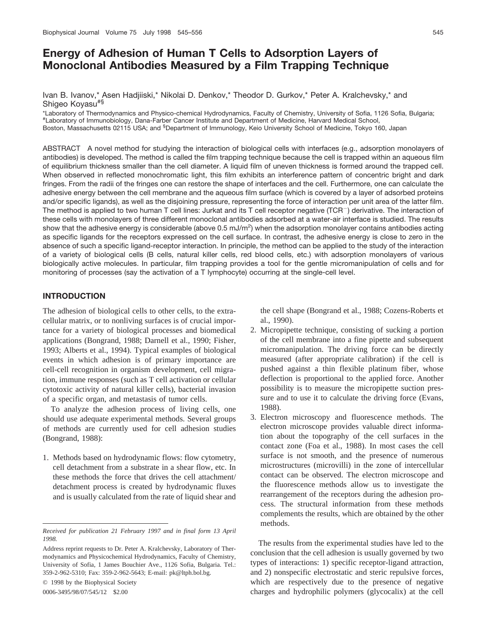# **Energy of Adhesion of Human T Cells to Adsorption Layers of Monoclonal Antibodies Measured by a Film Trapping Technique**

Ivan B. Ivanov,\* Asen Hadjiiski,\* Nikolai D. Denkov,\* Theodor D. Gurkov,\* Peter A. Kralchevsky,\* and Shigeo Koyasu#§

\*Laboratory of Thermodynamics and Physico-chemical Hydrodynamics, Faculty of Chemistry, University of Sofia, 1126 Sofia, Bulgaria; # Laboratory of Immunobiology, Dana-Farber Cancer Institute and Department of Medicine, Harvard Medical School, Boston, Massachusetts 02115 USA; and <sup>§</sup>Department of Immunology, Keio University School of Medicine, Tokyo 160, Japan

ABSTRACT A novel method for studying the interaction of biological cells with interfaces (e.g., adsorption monolayers of antibodies) is developed. The method is called the film trapping technique because the cell is trapped within an aqueous film of equilibrium thickness smaller than the cell diameter. A liquid film of uneven thickness is formed around the trapped cell. When observed in reflected monochromatic light, this film exhibits an interference pattern of concentric bright and dark fringes. From the radii of the fringes one can restore the shape of interfaces and the cell. Furthermore, one can calculate the adhesive energy between the cell membrane and the aqueous film surface (which is covered by a layer of adsorbed proteins and/or specific ligands), as well as the disjoining pressure, representing the force of interaction per unit area of the latter film. The method is applied to two human T cell lines: Jurkat and its T cell receptor negative (TCR<sup>-</sup>) derivative. The interaction of these cells with monolayers of three different monoclonal antibodies adsorbed at a water-air interface is studied. The results show that the adhesive energy is considerable (above 0.5 mJ/m<sup>2</sup>) when the adsorption monolayer contains antibodies acting as specific ligands for the receptors expressed on the cell surface. In contrast, the adhesive energy is close to zero in the absence of such a specific ligand-receptor interaction. In principle, the method can be applied to the study of the interaction of a variety of biological cells (B cells, natural killer cells, red blood cells, etc.) with adsorption monolayers of various biologically active molecules. In particular, film trapping provides a tool for the gentle micromanipulation of cells and for monitoring of processes (say the activation of a T lymphocyte) occurring at the single-cell level.

# **INTRODUCTION**

The adhesion of biological cells to other cells, to the extracellular matrix, or to nonliving surfaces is of crucial importance for a variety of biological processes and biomedical applications (Bongrand, 1988; Darnell et al., 1990; Fisher, 1993; Alberts et al., 1994). Typical examples of biological events in which adhesion is of primary importance are cell-cell recognition in organism development, cell migration, immune responses (such as T cell activation or cellular cytotoxic activity of natural killer cells), bacterial invasion of a specific organ, and metastasis of tumor cells.

To analyze the adhesion process of living cells, one should use adequate experimental methods. Several groups of methods are currently used for cell adhesion studies (Bongrand, 1988):

1. Methods based on hydrodynamic flows: flow cytometry, cell detachment from a substrate in a shear flow, etc. In these methods the force that drives the cell attachment/ detachment process is created by hydrodynamic fluxes and is usually calculated from the rate of liquid shear and

© 1998 by the Biophysical Society 0006-3495/98/07/545/12 \$2.00

the cell shape (Bongrand et al., 1988; Cozens-Roberts et al., 1990).

- 2. Micropipette technique, consisting of sucking a portion of the cell membrane into a fine pipette and subsequent micromanipulation. The driving force can be directly measured (after appropriate calibration) if the cell is pushed against a thin flexible platinum fiber, whose deflection is proportional to the applied force. Another possibility is to measure the micropipette suction pressure and to use it to calculate the driving force (Evans, 1988).
- 3. Electron microscopy and fluorescence methods. The electron microscope provides valuable direct information about the topography of the cell surfaces in the contact zone (Foa et al., 1988). In most cases the cell surface is not smooth, and the presence of numerous microstructures (microvilli) in the zone of intercellular contact can be observed. The electron microscope and the fluorescence methods allow us to investigate the rearrangement of the receptors during the adhesion process. The structural information from these methods complements the results, which are obtained by the other methods.

The results from the experimental studies have led to the conclusion that the cell adhesion is usually governed by two types of interactions: 1) specific receptor-ligand attraction, and 2) nonspecific electrostatic and steric repulsive forces, which are respectively due to the presence of negative charges and hydrophilic polymers (glycocalix) at the cell

*Received for publication 21 February 1997 and in final form 13 April 1998.*

Address reprint requests to Dr. Peter A. Kralchevsky, Laboratory of Thermodynamics and Physicochemical Hydrodynamics, Faculty of Chemistry, University of Sofia, 1 James Bouchier Ave., 1126 Sofia, Bulgaria. Tel.: 359-2-962-5310; Fax: 359-2-962-5643; E-mail: pk@ltph.bol.bg.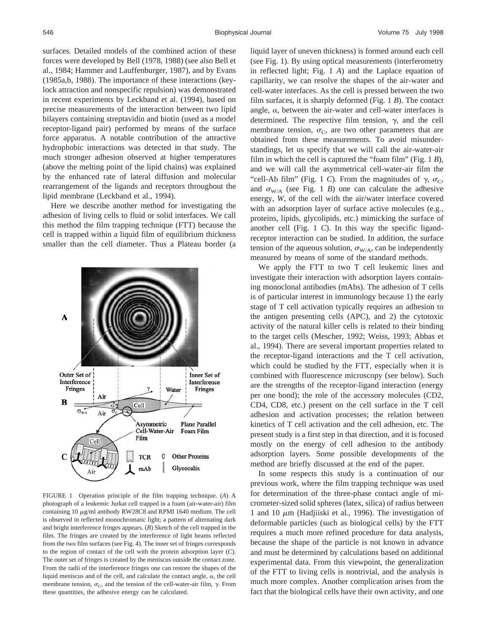surfaces. Detailed models of the combined action of these forces were developed by Bell (1978, 1988) (see also Bell et al., 1984; Hammer and Lauffenburger, 1987), and by Evans (1985a,b, 1988). The importance of these interactions (keylock attraction and nonspecific repulsion) was demonstrated in recent experiments by Leckband et al. (1994), based on precise measurements of the interaction between two lipid bilayers containing streptavidin and biotin (used as a model receptor-ligand pair) performed by means of the surface force apparatus. A notable contribution of the attractive hydrophobic interactions was detected in that study. The much stronger adhesion observed at higher temperatures (above the melting point of the lipid chains) was explained by the enhanced rate of lateral diffusion and molecular rearrangement of the ligands and receptors throughout the lipid membrane (Leckband et al., 1994).

Here we describe another method for investigating the adhesion of living cells to fluid or solid interfaces. We call this method the film trapping technique (FTT) because the cell is trapped within a liquid film of equilibrium thickness smaller than the cell diameter. Thus a Plateau border (a



FIGURE 1 Operation principle of the film trapping technique. (*A*) A photograph of a leukemic Jurkat cell trapped in a foam (air-water-air) film containing 10  $\mu$ g/ml antibody RW28C8 and RPMI 1640 medium. The cell is observed in reflected monochromatic light; a pattern of alternating dark and bright interference fringes appears. (*B*) Sketch of the cell trapped in the film. The fringes are created by the interference of light beams reflected from the two film surfaces (see Fig. 4). The inner set of fringes corresponds to the region of contact of the cell with the protein adsorption layer (*C*). The outer set of fringes is created by the meniscus outside the contact zone. From the radii of the interference fringes one can restore the shapes of the liquid meniscus and of the cell, and calculate the contact angle,  $\alpha$ , the cell membrane tension,  $\sigma_C$ , and the tension of the cell-water-air film,  $\gamma$ . From these quantities, the adhesive energy can be calculated.

liquid layer of uneven thickness) is formed around each cell (see Fig. 1). By using optical measurements (interferometry in reflected light; Fig. 1 *A*) and the Laplace equation of capillarity, we can resolve the shapes of the air-water and cell-water interfaces. As the cell is pressed between the two film surfaces, it is sharply deformed (Fig. 1 *B*). The contact angle,  $\alpha$ , between the air-water and cell-water interfaces is determined. The respective film tension,  $\gamma$ , and the cell membrane tension,  $\sigma_{\text{C}}$ , are two other parameters that are obtained from these measurements. To avoid misunderstandings, let us specify that we will call the air-water-air film in which the cell is captured the "foam film" (Fig. 1 *B*), and we will call the asymmetrical cell-water-air film the "cell-Ab film" (Fig. 1 *C*). From the magnitudes of  $\gamma$ ,  $\sigma_C$ , and  $\sigma_{\text{W/A}}$  (see Fig. 1 *B*) one can calculate the adhesive energy, *W*, of the cell with the air/water interface covered with an adsorption layer of surface active molecules (e.g., proteins, lipids, glycolipids, etc.) mimicking the surface of another cell (Fig. 1 *C*). In this way the specific ligandreceptor interaction can be studied. In addition, the surface tension of the aqueous solution,  $\sigma_{W/A}$ , can be independently measured by means of some of the standard methods.

We apply the FTT to two T cell leukemic lines and investigate their interaction with adsorption layers containing monoclonal antibodies (mAbs). The adhesion of T cells is of particular interest in immunology because 1) the early stage of T cell activation typically requires an adhesion to the antigen presenting cells (APC), and 2) the cytotoxic activity of the natural killer cells is related to their binding to the target cells (Mescher, 1992; Weiss, 1993; Abbas et al., 1994). There are several important properties related to the receptor-ligand interactions and the T cell activation, which could be studied by the FTT, especially when it is combined with fluorescence microscopy (see below). Such are the strengths of the receptor-ligand interaction (energy per one bond); the role of the accessory molecules (CD2, CD4, CD8, etc.) present on the cell surface in the T cell adhesion and activation processes; the relation between kinetics of T cell activation and the cell adhesion, etc. The present study is a first step in that direction, and it is focused mostly on the energy of cell adhesion to the antibody adsorption layers. Some possible developments of the method are briefly discussed at the end of the paper.

In some respects this study is a continuation of our previous work, where the film trapping technique was used for determination of the three-phase contact angle of micrometer-sized solid spheres (latex, silica) of radius between 1 and 10  $\mu$ m (Hadjiiski et al., 1996). The investigation of deformable particles (such as biological cells) by the FTT requires a much more refined procedure for data analysis, because the shape of the particle is not known in advance and must be determined by calculations based on additional experimental data. From this viewpoint, the generalization of the FTT to living cells is nontrivial, and the analysis is much more complex. Another complication arises from the fact that the biological cells have their own activity, and one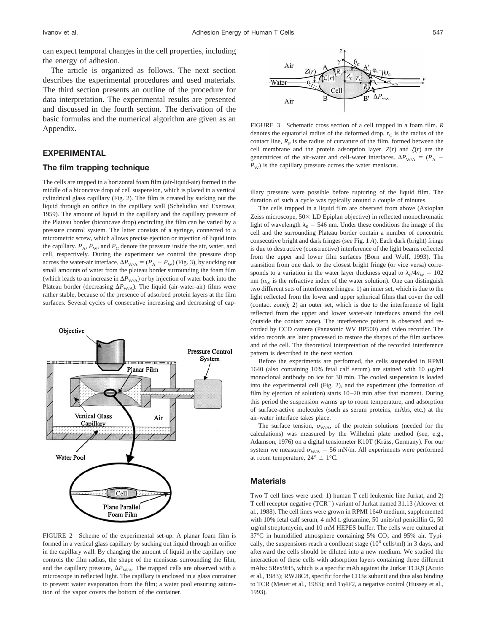can expect temporal changes in the cell properties, including the energy of adhesion.

The article is organized as follows. The next section describes the experimental procedures and used materials. The third section presents an outline of the procedure for data interpretation. The experimental results are presented and discussed in the fourth section. The derivation of the basic formulas and the numerical algorithm are given as an Appendix.

# **EXPERIMENTAL**

#### **The film trapping technique**

The cells are trapped in a horizontal foam film (air-liquid-air) formed in the middle of a biconcave drop of cell suspension, which is placed in a vertical cylindrical glass capillary (Fig. 2). The film is created by sucking out the liquid through an orifice in the capillary wall (Scheludko and Exerowa, 1959). The amount of liquid in the capillary and the capillary pressure of the Plateau border (biconcave drop) encircling the film can be varied by a pressure control system. The latter consists of a syringe, connected to a micrometric screw, which allows precise ejection or injection of liquid into the capillary.  $P_A$ ,  $P_W$ , and  $P_C$  denote the pressure inside the air, water, and cell, respectively. During the experiment we control the pressure drop across the water-air interface,  $\Delta P_{W/A} = (P_A - P_W)$  (Fig. 3), by sucking out small amounts of water from the plateau border surrounding the foam film (which leads to an increase in  $\Delta P_{\text{W/A}}$ ) or by injection of water back into the Plateau border (decreasing  $\Delta P_{W/A}$ ). The liquid (air-water-air) films were rather stable, because of the presence of adsorbed protein layers at the film surfaces. Several cycles of consecutive increasing and decreasing of cap-



FIGURE 2 Scheme of the experimental set-up. A planar foam film is formed in a vertical glass capillary by sucking out liquid through an orifice in the capillary wall. By changing the amount of liquid in the capillary one controls the film radius, the shape of the meniscus surrounding the film, and the capillary pressure,  $\Delta P_{\text{W/A}}$ . The trapped cells are observed with a microscope in reflected light. The capillary is enclosed in a glass container to prevent water evaporation from the film; a water pool ensuring saturation of the vapor covers the bottom of the container.



FIGURE 3 Schematic cross section of a cell trapped in a foam film. *R* denotes the equatorial radius of the deformed drop,  $r<sub>C</sub>$  is the radius of the contact line,  $R<sub>F</sub>$  is the radius of curvature of the film, formed between the cell membrane and the protein adsorption layer.  $Z(r)$  and  $\zeta(r)$  are the generatrices of the air-water and cell-water interfaces.  $\Delta P_{W/A} = (P_A P_{\rm W}$ ) is the capillary pressure across the water meniscus.

illary pressure were possible before rupturing of the liquid film. The duration of such a cycle was typically around a couple of minutes.

The cells trapped in a liquid film are observed from above (Axioplan Zeiss microscope,  $50 \times$  LD Epiplan objective) in reflected monochromatic light of wavelength  $\lambda_0 = 546$  nm. Under these conditions the image of the cell and the surrounding Plateau border contain a number of concentric consecutive bright and dark fringes (see Fig. 1 *A*). Each dark (bright) fringe is due to destructive (constructive) interference of the light beams reflected from the upper and lower film surfaces (Born and Wolf, 1993). The transition from one dark to the closest bright fringe (or vice versa) corresponds to a variation in the water layer thickness equal to  $\lambda_0/4n_{\rm W} = 102$ nm  $(n_w)$  is the refractive index of the water solution). One can distinguish two different sets of interference fringes: 1) an inner set, which is due to the light reflected from the lower and upper spherical films that cover the cell (contact zone); 2) an outer set, which is due to the interference of light reflected from the upper and lower water-air interfaces around the cell (outside the contact zone). The interference pattern is observed and recorded by CCD camera (Panasonic WV BP500) and video recorder. The video records are later processed to restore the shapes of the film surfaces and of the cell. The theoretical interpretation of the recorded interference pattern is described in the next section.

Before the experiments are performed, the cells suspended in RPMI 1640 (also containing 10% fetal calf serum) are stained with 10  $\mu$ g/ml monoclonal antibody on ice for 30 min. The cooled suspension is loaded into the experimental cell (Fig. 2), and the experiment (the formation of film by ejection of solution) starts 10–20 min after that moment. During this period the suspension warms up to room temperature, and adsorption of surface-active molecules (such as serum proteins, mAbs, etc.) at the air-water interface takes place.

The surface tension,  $\sigma_{W/A}$ , of the protein solutions (needed for the calculations) was measured by the Wilhelmi plate method (see, e.g., Adamson, 1976) on a digital tensiometer K10T (Krüss, Germany). For our system we measured  $\sigma_{\text{W/A}} = 56$  mN/m. All experiments were performed at room temperature,  $24^{\circ} \pm 1^{\circ}$ C.

#### **Materials**

Two T cell lines were used: 1) human T cell leukemic line Jurkat, and 2) T cell receptor negative (TCR<sup>-</sup>) variant of Jurkat named 31.13 (Alcover et al., 1988). The cell lines were grown in RPMI 1640 medium, supplemented with 10% fetal calf serum, 4 mM L-glutamine, 50 units/ml penicillin G, 50  $\mu$ g/ml streptomycin, and 10 mM HEPES buffer. The cells were cultured at  $37^{\circ}$ C in humidified atmosphere containing 5%  $CO<sub>2</sub>$  and 95% air. Typically, the suspensions reach a confluent stage  $(10^6 \text{ cells/ml})$  in 3 days, and afterward the cells should be diluted into a new medium. We studied the interaction of these cells with adsorption layers containing three different mAbs: 5Rex9H5, which is a specific mAb against the Jurkat  $TCR\beta$  (Acuto et al., 1983); RW28C8, specific for the CD3 $\varepsilon$  subunit and thus also binding to TCR (Meuer et al., 1983); and  $1\eta$ 4F2, a negative control (Hussey et al., 1993).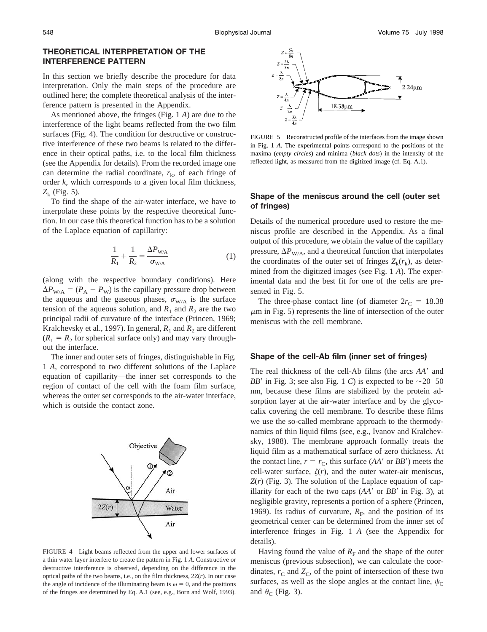### **THEORETICAL INTERPRETATION OF THE INTERFERENCE PATTERN**

In this section we briefly describe the procedure for data interpretation. Only the main steps of the procedure are outlined here; the complete theoretical analysis of the interference pattern is presented in the Appendix.

As mentioned above, the fringes (Fig. 1 *A*) are due to the interference of the light beams reflected from the two film surfaces (Fig. 4). The condition for destructive or constructive interference of these two beams is related to the difference in their optical paths, i.e. to the local film thickness (see the Appendix for details). From the recorded image one can determine the radial coordinate,  $r_k$ , of each fringe of order *k*, which corresponds to a given local film thickness,  $Z_k$  (Fig. 5).

To find the shape of the air-water interface, we have to interpolate these points by the respective theoretical function. In our case this theoretical function has to be a solution of the Laplace equation of capillarity:

$$
\frac{1}{R_1} + \frac{1}{R_2} = \frac{\Delta P_{\text{W/A}}}{\sigma_{\text{W/A}}} \tag{1}
$$

(along with the respective boundary conditions). Here  $\Delta P_{W/A} = (P_A - P_W)$  is the capillary pressure drop between the aqueous and the gaseous phases,  $\sigma_{W/A}$  is the surface tension of the aqueous solution, and  $R_1$  and  $R_2$  are the two principal radii of curvature of the interface (Princen, 1969; Kralchevsky et al., 1997). In general,  $R_1$  and  $R_2$  are different  $(R_1 = R_2$  for spherical surface only) and may vary throughout the interface.

The inner and outer sets of fringes, distinguishable in Fig. 1 *A*, correspond to two different solutions of the Laplace equation of capillarity—the inner set corresponds to the region of contact of the cell with the foam film surface, whereas the outer set corresponds to the air-water interface, which is outside the contact zone.



FIGURE 4 Light beams reflected from the upper and lower surfaces of a thin water layer interfere to create the pattern in Fig. 1 *A*. Constructive or destructive interference is observed, depending on the difference in the optical paths of the two beams, i.e., on the film thickness, 2*Z*(*r*). In our case the angle of incidence of the illuminating beam is  $\omega = 0$ , and the positions of the fringes are determined by Eq. A.1 (see, e.g., Born and Wolf, 1993).



FIGURE 5 Reconstructed profile of the interfaces from the image shown in Fig. 1 *A*. The experimental points correspond to the positions of the maxima (*empty circles*) and minima (*black dots*) in the intensity of the reflected light, as measured from the digitized image (cf. Eq. A.1).

# **Shape of the meniscus around the cell (outer set of fringes)**

Details of the numerical procedure used to restore the meniscus profile are described in the Appendix. As a final output of this procedure, we obtain the value of the capillary pressure,  $\Delta P_{\text{W/A}}$ , and a theoretical function that interpolates the coordinates of the outer set of fringes  $Z_k(r_k)$ , as determined from the digitized images (see Fig. 1 *A*). The experimental data and the best fit for one of the cells are presented in Fig. 5.

The three-phase contact line (of diameter  $2r<sub>C</sub> = 18.38$ )  $\mu$ m in Fig. 5) represents the line of intersection of the outer meniscus with the cell membrane.

#### **Shape of the cell-Ab film (inner set of fringes)**

The real thickness of the cell-Ab films (the arcs  $AA'$  and *BB'* in Fig. 3; see also Fig. 1 *C*) is expected to be  $\sim$ 20–50 nm, because these films are stabilized by the protein adsorption layer at the air-water interface and by the glycocalix covering the cell membrane. To describe these films we use the so-called membrane approach to the thermodynamics of thin liquid films (see, e.g., Ivanov and Kralchevsky, 1988). The membrane approach formally treats the liquid film as a mathematical surface of zero thickness. At the contact line,  $r = r_C$ , this surface (*AA'* or *BB'*) meets the cell-water surface,  $\zeta(r)$ , and the outer water-air meniscus, *Z*(*r*) (Fig. 3). The solution of the Laplace equation of capillarity for each of the two caps  $(AA'$  or  $BB'$  in Fig. 3), at negligible gravity, represents a portion of a sphere (Princen, 1969). Its radius of curvature,  $R<sub>E</sub>$ , and the position of its geometrical center can be determined from the inner set of interference fringes in Fig. 1 *A* (see the Appendix for details).

Having found the value of  $R_F$  and the shape of the outer meniscus (previous subsection), we can calculate the coordinates,  $r_{\rm C}$  and  $Z_{\rm C}$ , of the point of intersection of these two surfaces, as well as the slope angles at the contact line,  $\psi_C$ and  $\theta_C$  (Fig. 3).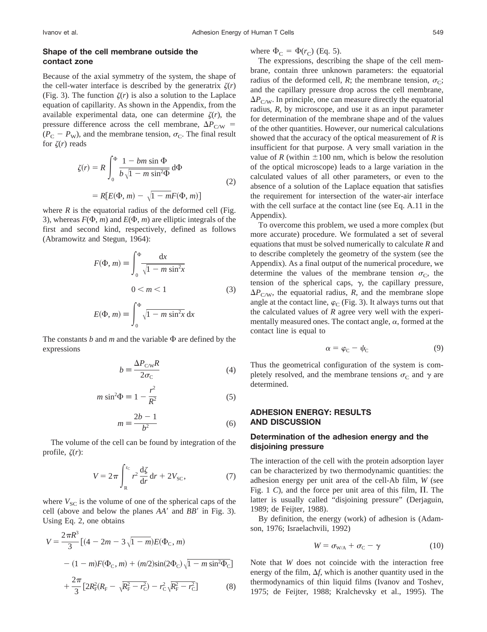### **Shape of the cell membrane outside the contact zone**

Because of the axial symmetry of the system, the shape of the cell-water interface is described by the generatrix  $\zeta(r)$ (Fig. 3). The function  $\zeta(r)$  is also a solution to the Laplace equation of capillarity. As shown in the Appendix, from the available experimental data, one can determine  $\zeta(r)$ , the pressure difference across the cell membrane,  $\Delta P_{\text{C/W}}$  =  $(P_{\rm C} - P_{\rm W})$ , and the membrane tension,  $\sigma_{\rm C}$ . The final result for  $\zeta(r)$  reads

$$
\zeta(r) = R \int_0^{\Phi} \frac{1 - bm \sin \Phi}{b \sqrt{1 - m \sin^2 \Phi}} d\Phi
$$
  
=  $R[E(\Phi, m) - \sqrt{1 - mF(\Phi, m)}]$  (2)

where  $R$  is the equatorial radius of the deformed cell (Fig. 3), whereas  $F(\Phi, m)$  and  $E(\Phi, m)$  are elliptic integrals of the first and second kind, respectively, defined as follows (Abramowitz and Stegun, 1964):

$$
F(\Phi, m) \equiv \int_0^{\Phi} \frac{\mathrm{d}x}{\sqrt{1 - m \sin^2 x}}
$$
  
0 < m < 1 \tag{3}  

$$
E(\Phi, m) \equiv \int_0^{\Phi} \sqrt{1 - m \sin^2 x} \, \mathrm{d}x
$$

The constants *b* and *m* and the variable  $\Phi$  are defined by the expressions

$$
b = \frac{\Delta P_{\text{C/W}} R}{2\sigma_{\text{C}}}
$$
 (4)

$$
m\sin^2\Phi \equiv 1 - \frac{r^2}{R^2} \tag{5}
$$

$$
m = \frac{2b - 1}{b^2} \tag{6}
$$

The volume of the cell can be found by integration of the profile,  $\zeta(r)$ :

$$
V = 2\pi \int_{R}^{r_{\rm C}} r^2 \frac{\mathrm{d}\zeta}{\mathrm{d}r} \mathrm{d}r + 2V_{\rm SC},\tag{7}
$$

where  $V_{SC}$  is the volume of one of the spherical caps of the cell (above and below the planes  $AA'$  and  $BB'$  in Fig. 3). Using Eq. 2, one obtains

$$
V = \frac{2\pi R^3}{3} \left[ (4 - 2m - 3\sqrt{1 - m}) E(\Phi_{\rm c}, m) - (1 - m) F(\Phi_{\rm c}, m) + (m/2) \sin(2\Phi_{\rm c}) \sqrt{1 - m \sin^2 \Phi_{\rm c}} \right] + \frac{2\pi}{3} \left[ 2R_{\rm F}^2 (R_{\rm F} - \sqrt{R_{\rm F}^2 - r_{\rm c}^2}) - r_{\rm c}^2 \sqrt{R_{\rm F}^2 - r_{\rm c}^2} \right] \tag{8}
$$

where  $\Phi_C = \Phi(r_C)$  (Eq. 5).

The expressions, describing the shape of the cell membrane, contain three unknown parameters: the equatorial radius of the deformed cell, *R*; the membrane tension,  $\sigma_C$ ; and the capillary pressure drop across the cell membrane,  $\Delta P_{\text{C/W}}$ . In principle, one can measure directly the equatorial radius, *R*, by microscope, and use it as an input parameter for determination of the membrane shape and of the values of the other quantities. However, our numerical calculations showed that the accuracy of the optical measurement of *R* is insufficient for that purpose. A very small variation in the value of *R* (within  $\pm 100$  nm, which is below the resolution of the optical microscope) leads to a large variation in the calculated values of all other parameters, or even to the absence of a solution of the Laplace equation that satisfies the requirement for intersection of the water-air interface with the cell surface at the contact line (see Eq. A.11 in the Appendix).

To overcome this problem, we used a more complex (but more accurate) procedure. We formulated a set of several equations that must be solved numerically to calculate *R* and to describe completely the geometry of the system (see the Appendix). As a final output of the numerical procedure, we determine the values of the membrane tension  $\sigma_{\rm C}$ , the tension of the spherical caps,  $\gamma$ , the capillary pressure,  $\Delta P_{\text{C/W}}$ , the equatorial radius, *R*, and the membrane slope angle at the contact line,  $\varphi_C$  (Fig. 3). It always turns out that the calculated values of *R* agree very well with the experimentally measured ones. The contact angle,  $\alpha$ , formed at the contact line is equal to

$$
\alpha = \varphi_{\rm C} - \psi_{\rm C} \tag{9}
$$

Thus the geometrical configuration of the system is completely resolved, and the membrane tensions  $\sigma_{\rm C}$  and  $\gamma$  are determined.

### **ADHESION ENERGY: RESULTS AND DISCUSSION**

### **Determination of the adhesion energy and the disjoining pressure**

The interaction of the cell with the protein adsorption layer can be characterized by two thermodynamic quantities: the adhesion energy per unit area of the cell-Ab film, *W* (see Fig. 1  $C$ ), and the force per unit area of this film,  $\Pi$ . The latter is usually called "disjoining pressure" (Derjaguin, 1989; de Feijter, 1988).

By definition, the energy (work) of adhesion is (Adamson, 1976; Israelachvili, 1992)

$$
W = \sigma_{W/A} + \sigma_C - \gamma \tag{10}
$$

Note that *W* does not coincide with the interaction free energy of the film,  $\Delta f$ , which is another quantity used in the thermodynamics of thin liquid films (Ivanov and Toshev, 1975; de Feijter, 1988; Kralchevsky et al., 1995). The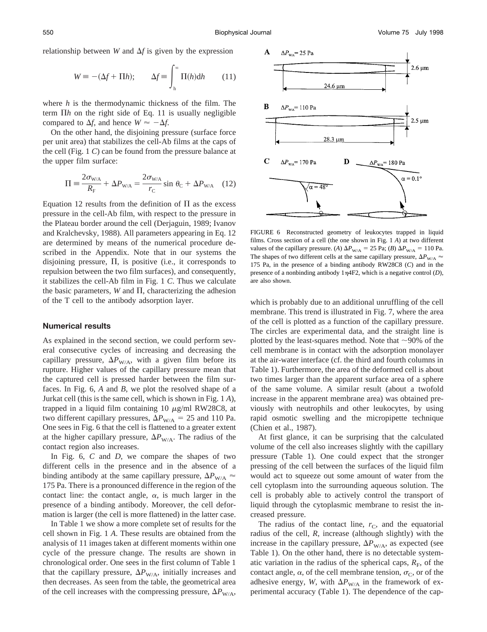relationship between *W* and  $\Delta f$  is given by the expression

$$
W \equiv -(\Delta f + \Pi h); \qquad \Delta f \equiv \int_{h}^{\infty} \Pi(h) dh \qquad (11)
$$

where *h* is the thermodynamic thickness of the film. The term  $\Pi h$  on the right side of Eq. 11 is usually negligible compared to  $\Delta f$ , and hence  $W \approx -\Delta f$ .

On the other hand, the disjoining pressure (surface force per unit area) that stabilizes the cell-Ab films at the caps of the cell (Fig. 1 *C*) can be found from the pressure balance at the upper film surface:

$$
\Pi = \frac{2\sigma_{\text{W/A}}}{R_{\text{F}}} + \Delta P_{\text{W/A}} = \frac{2\sigma_{\text{W/A}}}{r_{\text{C}}} \sin \theta_{\text{C}} + \Delta P_{\text{W/A}} \quad (12)
$$

Equation 12 results from the definition of  $\Pi$  as the excess pressure in the cell-Ab film, with respect to the pressure in the Plateau border around the cell (Derjaguin, 1989; Ivanov and Kralchevsky, 1988). All parameters appearing in Eq. 12 are determined by means of the numerical procedure described in the Appendix. Note that in our systems the disjoining pressure,  $\Pi$ , is positive (i.e., it corresponds to repulsion between the two film surfaces), and consequently, it stabilizes the cell-Ab film in Fig. 1 *C*. Thus we calculate the basic parameters,  $W$  and  $\Pi$ , characterizing the adhesion of the T cell to the antibody adsorption layer.

#### **Numerical results**

As explained in the second section, we could perform several consecutive cycles of increasing and decreasing the capillary pressure,  $\Delta P_{W/A}$ , with a given film before its rupture. Higher values of the capillary pressure mean that the captured cell is pressed harder between the film surfaces. In Fig. 6, *A* and *B*, we plot the resolved shape of a Jurkat cell (this is the same cell, which is shown in Fig. 1 *A*), trapped in a liquid film containing 10  $\mu$ g/ml RW28C8, at two different capillary pressures,  $\Delta P_{W/A} = 25$  and 110 Pa. One sees in Fig. 6 that the cell is flattened to a greater extent at the higher capillary pressure,  $\Delta P_{W/A}$ . The radius of the contact region also increases.

In Fig. 6, *C* and *D*, we compare the shapes of two different cells in the presence and in the absence of a binding antibody at the same capillary pressure,  $\Delta P_{W/A}$   $\approx$ 175 Pa. There is a pronounced difference in the region of the contact line: the contact angle,  $\alpha$ , is much larger in the presence of a binding antibody. Moreover, the cell deformation is larger (the cell is more flattened) in the latter case.

In Table 1 we show a more complete set of results for the cell shown in Fig. 1 *A*. These results are obtained from the analysis of 11 images taken at different moments within one cycle of the pressure change. The results are shown in chronological order. One sees in the first column of Table 1 that the capillary pressure,  $\Delta P_{W/A}$ , initially increases and then decreases. As seen from the table, the geometrical area of the cell increases with the compressing pressure,  $\Delta P_{W/A}$ ,



FIGURE 6 Reconstructed geometry of leukocytes trapped in liquid films. Cross section of a cell (the one shown in Fig. 1 *A*) at two different values of the capillary pressure. (*A*)  $\Delta P_{\text{W/A}} = 25 \text{ Pa}$ ; (*B*)  $\Delta P_{\text{W/A}} = 110 \text{ Pa}$ . The shapes of two different cells at the same capillary pressure,  $\Delta P_{W/A}$   $\approx$ 175 Pa, in the presence of a binding antibody RW28C8 (*C*) and in the presence of a nonbinding antibody  $1\eta$ 4F2, which is a negative control (*D*), are also shown.

which is probably due to an additional unruffling of the cell membrane. This trend is illustrated in Fig. 7, where the area of the cell is plotted as a function of the capillary pressure. The circles are experimental data, and the straight line is plotted by the least-squares method. Note that  $\sim$ 90% of the cell membrane is in contact with the adsorption monolayer at the air-water interface (cf. the third and fourth columns in Table 1). Furthermore, the area of the deformed cell is about two times larger than the apparent surface area of a sphere of the same volume. A similar result (about a twofold increase in the apparent membrane area) was obtained previously with neutrophils and other leukocytes, by using rapid osmotic swelling and the micropipette technique (Chien et al., 1987).

At first glance, it can be surprising that the calculated volume of the cell also increases slightly with the capillary pressure (Table 1). One could expect that the stronger pressing of the cell between the surfaces of the liquid film would act to squeeze out some amount of water from the cell cytoplasm into the surrounding aqueous solution. The cell is probably able to actively control the transport of liquid through the cytoplasmic membrane to resist the increased pressure.

The radius of the contact line,  $r<sub>C</sub>$ , and the equatorial radius of the cell, *R*, increase (although slightly) with the increase in the capillary pressure,  $\Delta P_{W/A}$ , as expected (see Table 1). On the other hand, there is no detectable systematic variation in the radius of the spherical caps,  $R<sub>F</sub>$ , of the contact angle,  $\alpha$ , of the cell membrane tension,  $\sigma_{\rm C}$ , or of the adhesive energy, *W*, with  $\Delta P_{W/A}$  in the framework of experimental accuracy (Table 1). The dependence of the cap-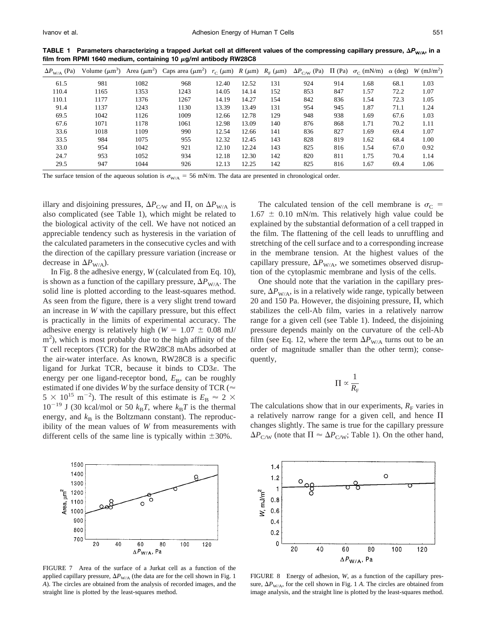| TABLE 1 Parameters characterizing a trapped Jurkat cell at different values of the compressing capillary pressure, $\Delta P_{W/A}$ , in a |  |
|--------------------------------------------------------------------------------------------------------------------------------------------|--|
| film from RPMI 1640 medium, containing 10 $\mu$ g/ml antibody RW28C8                                                                       |  |
|                                                                                                                                            |  |

| $\Delta P_{\text{W/A}}$ (Pa) | Volume $(\mu m^3)$ |      | Area ( $\mu$ m <sup>2</sup> ) Caps area ( $\mu$ m <sup>2</sup> ) $r_C$ ( $\mu$ m) R ( $\mu$ m) R <sub>F</sub> ( $\mu$ m) |       |       |     | $\Delta P_{\rm C/W}$ (Pa) $\Pi$ (Pa) |     | $\sigma_{\rm C}$ (mN/m) | $\alpha$ (deg) | $W$ (mJ/m <sup>2</sup> ) |
|------------------------------|--------------------|------|--------------------------------------------------------------------------------------------------------------------------|-------|-------|-----|--------------------------------------|-----|-------------------------|----------------|--------------------------|
| 61.5                         | 981                | 1082 | 968                                                                                                                      | 12.40 | 12.52 | 131 | 924                                  | 914 | 1.68                    | 68.1           | 1.03                     |
| 110.4                        | 1165               | 1353 | 1243                                                                                                                     | 14.05 | 14.14 | 152 | 853                                  | 847 | 1.57                    | 72.2           | 1.07                     |
| 110.1                        | 1177               | 1376 | 1267                                                                                                                     | 14.19 | 14.27 | 154 | 842                                  | 836 | 1.54                    | 72.3           | 1.05                     |
| 91.4                         | 1137               | 1243 | 1130                                                                                                                     | 13.39 | 13.49 | 131 | 954                                  | 945 | 1.87                    | 71.1           | 1.24                     |
| 69.5                         | 1042               | 1126 | 1009                                                                                                                     | 12.66 | 12.78 | 129 | 948                                  | 938 | 1.69                    | 67.6           | 1.03                     |
| 67.6                         | 1071               | 1178 | 1061                                                                                                                     | 12.98 | 13.09 | 140 | 876                                  | 868 | 1.71                    | 70.2           | 1.11                     |
| 33.6                         | 1018               | 1109 | 990                                                                                                                      | 12.54 | 12.66 | 141 | 836                                  | 827 | 1.69                    | 69.4           | 1.07                     |
| 33.5                         | 984                | 1075 | 955                                                                                                                      | 12.32 | 12.45 | 143 | 828                                  | 819 | 1.62                    | 68.4           | 1.00                     |
| 33.0                         | 954                | 1042 | 921                                                                                                                      | 12.10 | 12.24 | 143 | 825                                  | 816 | 1.54                    | 67.0           | 0.92                     |
| 24.7                         | 953                | 1052 | 934                                                                                                                      | 12.18 | 12.30 | 142 | 820                                  | 811 | 1.75                    | 70.4           | 1.14                     |
| 29.5                         | 947                | 1044 | 926                                                                                                                      | 12.13 | 12.25 | 142 | 825                                  | 816 | 1.67                    | 69.4           | 1.06                     |

The surface tension of the aqueous solution is  $\sigma_{\text{W/A}} = 56$  mN/m. The data are presented in chronological order.

illary and disjoining pressures,  $\Delta P_{\text{C/W}}$  and  $\Pi$ , on  $\Delta P_{\text{W/A}}$  is also complicated (see Table 1), which might be related to the biological activity of the cell. We have not noticed an appreciable tendency such as hysteresis in the variation of the calculated parameters in the consecutive cycles and with the direction of the capillary pressure variation (increase or decrease in  $\Delta P_{W/A}$ ).

In Fig. 8 the adhesive energy, *W* (calculated from Eq. 10), is shown as a function of the capillary pressure,  $\Delta P_{W/A}$ . The solid line is plotted according to the least-squares method. As seen from the figure, there is a very slight trend toward an increase in *W* with the capillary pressure, but this effect is practically in the limits of experimental accuracy. The adhesive energy is relatively high ( $W = 1.07 \pm 0.08$  mJ/ m<sup>2</sup>), which is most probably due to the high affinity of the T cell receptors (TCR) for the RW28C8 mAbs adsorbed at the air-water interface. As known, RW28C8 is a specific ligand for Jurkat TCR, because it binds to  $CD3\varepsilon$ . The energy per one ligand-receptor bond,  $E_B$ , can be roughly estimated if one divides *W* by the surface density of TCR ( $\approx$  $5 \times 10^{15}$  m<sup>-2</sup>). The result of this estimate is  $E_{\rm B} \approx 2 \times$  $10^{-19}$  J (30 kcal/mol or 50  $k_B T$ , where  $k_B T$  is the thermal energy, and  $k<sub>B</sub>$  is the Boltzmann constant). The reproducibility of the mean values of *W* from measurements with different cells of the same line is typically within  $\pm 30\%$ .



One should note that the variation in the capillary pressure,  $\Delta P_{W/A}$ , is in a relatively wide range, typically between 20 and 150 Pa. However, the disjoining pressure,  $\Pi$ , which stabilizes the cell-Ab film, varies in a relatively narrow range for a given cell (see Table 1). Indeed, the disjoining pressure depends mainly on the curvature of the cell-Ab film (see Eq. 12, where the term  $\Delta P_{W/A}$  turns out to be an order of magnitude smaller than the other term); consequently,

$$
\Pi \propto \frac{1}{R_{\rm F}}
$$

The calculations show that in our experiments,  $R<sub>F</sub>$  varies in a relatively narrow range for a given cell, and hence  $\Pi$ changes slightly. The same is true for the capillary pressure  $\Delta P_{\text{C/W}}$  (note that  $\Pi \approx \Delta P_{\text{C/W}}$ ; Table 1). On the other hand,



FIGURE 7 Area of the surface of a Jurkat cell as a function of the applied capillary pressure,  $\Delta P_{W/A}$  (the data are for the cell shown in Fig. 1) *A*). The circles are obtained from the analysis of recorded images, and the straight line is plotted by the least-squares method.



FIGURE 8 Energy of adhesion, *W*, as a function of the capillary pressure,  $\Delta P_{W/A}$ , for the cell shown in Fig. 1 *A*. The circles are obtained from image analysis, and the straight line is plotted by the least-squares method.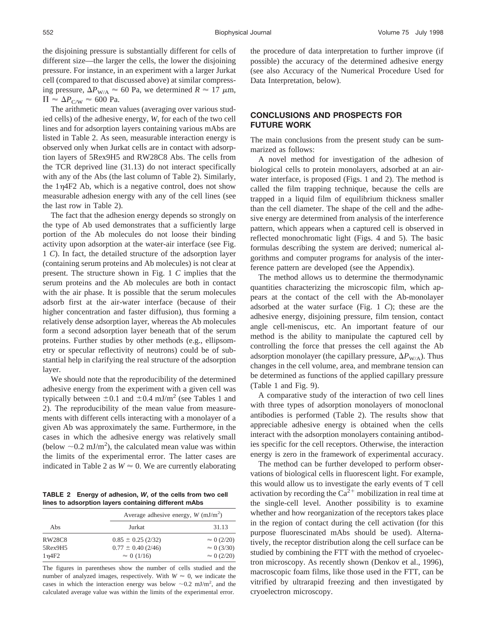the disjoining pressure is substantially different for cells of different size—the larger the cells, the lower the disjoining pressure. For instance, in an experiment with a larger Jurkat cell (compared to that discussed above) at similar compressing pressure,  $\Delta P_{W/A} \approx 60$  Pa, we determined  $R \approx 17 \mu \text{m}$ ,  $\Pi \approx \Delta P_{\text{C/W}} \approx 600 \text{ Pa}.$ 

The arithmetic mean values (averaging over various studied cells) of the adhesive energy, *W*, for each of the two cell lines and for adsorption layers containing various mAbs are listed in Table 2. As seen, measurable interaction energy is observed only when Jurkat cells are in contact with adsorption layers of 5Rex9H5 and RW28C8 Abs. The cells from the TCR deprived line (31.13) do not interact specifically with any of the Abs (the last column of Table 2). Similarly, the  $1\eta$ 4F2 Ab, which is a negative control, does not show measurable adhesion energy with any of the cell lines (see the last row in Table 2).

The fact that the adhesion energy depends so strongly on the type of Ab used demonstrates that a sufficiently large portion of the Ab molecules do not loose their binding activity upon adsorption at the water-air interface (see Fig. 1 *C*). In fact, the detailed structure of the adsorption layer (containing serum proteins and Ab molecules) is not clear at present. The structure shown in Fig. 1 *C* implies that the serum proteins and the Ab molecules are both in contact with the air phase. It is possible that the serum molecules adsorb first at the air-water interface (because of their higher concentration and faster diffusion), thus forming a relatively dense adsorption layer, whereas the Ab molecules form a second adsorption layer beneath that of the serum proteins. Further studies by other methods (e.g., ellipsometry or specular reflectivity of neutrons) could be of substantial help in clarifying the real structure of the adsorption layer.

We should note that the reproducibility of the determined adhesive energy from the experiment with a given cell was typically between  $\pm 0.1$  and  $\pm 0.4$  mJ/m<sup>2</sup> (see Tables 1 and 2). The reproducibility of the mean value from measurements with different cells interacting with a monolayer of a given Ab was approximately the same. Furthermore, in the cases in which the adhesive energy was relatively small (below  $\sim$  0.2 mJ/m<sup>2</sup>), the calculated mean value was within the limits of the experimental error. The latter cases are indicated in Table 2 as  $W \approx 0$ . We are currently elaborating

**TABLE 2 Energy of adhesion,** *W***, of the cells from two cell lines to adsorption layers containing different mAbs**

|               | Average adhesive energy, $W$ (mJ/m <sup>2</sup> ) |                    |  |  |  |
|---------------|---------------------------------------------------|--------------------|--|--|--|
| Abs           | Jurkat                                            | 31.13              |  |  |  |
| <b>RW28C8</b> | $0.85 \pm 0.25$ (2/32)                            | $\approx 0$ (2/20) |  |  |  |
| 5Rex9H5       | $0.77 \pm 0.40$ (2/46)                            | $\approx 0$ (3/30) |  |  |  |
| $1\eta$ 4F2   | $\approx 0$ (1/16)                                | $\approx 0$ (2/20) |  |  |  |

The figures in parentheses show the number of cells studied and the number of analyzed images, respectively. With  $W \approx 0$ , we indicate the cases in which the interaction energy was below  $\sim 0.2$  mJ/m<sup>2</sup>, and the calculated average value was within the limits of the experimental error.

the procedure of data interpretation to further improve (if possible) the accuracy of the determined adhesive energy (see also Accuracy of the Numerical Procedure Used for Data Interpretation, below).

# **CONCLUSIONS AND PROSPECTS FOR FUTURE WORK**

The main conclusions from the present study can be summarized as follows:

A novel method for investigation of the adhesion of biological cells to protein monolayers, adsorbed at an airwater interface, is proposed (Figs. 1 and 2). The method is called the film trapping technique, because the cells are trapped in a liquid film of equilibrium thickness smaller than the cell diameter. The shape of the cell and the adhesive energy are determined from analysis of the interference pattern, which appears when a captured cell is observed in reflected monochromatic light (Figs. 4 and 5). The basic formulas describing the system are derived; numerical algorithms and computer programs for analysis of the interference pattern are developed (see the Appendix).

The method allows us to determine the thermodynamic quantities characterizing the microscopic film, which appears at the contact of the cell with the Ab-monolayer adsorbed at the water surface (Fig. 1 *C*); these are the adhesive energy, disjoining pressure, film tension, contact angle cell-meniscus, etc. An important feature of our method is the ability to manipulate the captured cell by controlling the force that presses the cell against the Ab adsorption monolayer (the capillary pressure,  $\Delta P_{W/A}$ ). Thus changes in the cell volume, area, and membrane tension can be determined as functions of the applied capillary pressure (Table 1 and Fig. 9).

A comparative study of the interaction of two cell lines with three types of adsorption monolayers of monoclonal antibodies is performed (Table 2). The results show that appreciable adhesive energy is obtained when the cells interact with the adsorption monolayers containing antibodies specific for the cell receptors. Otherwise, the interaction energy is zero in the framework of experimental accuracy.

The method can be further developed to perform observations of biological cells in fluorescent light. For example, this would allow us to investigate the early events of T cell activation by recording the  $Ca<sup>2+</sup>$  mobilization in real time at the single-cell level. Another possibility is to examine whether and how reorganization of the receptors takes place in the region of contact during the cell activation (for this purpose fluorescinated mAbs should be used). Alternatively, the receptor distribution along the cell surface can be studied by combining the FTT with the method of cryoelectron microscopy. As recently shown (Denkov et al., 1996), macroscopic foam films, like those used in the FTT, can be vitrified by ultrarapid freezing and then investigated by cryoelectron microscopy.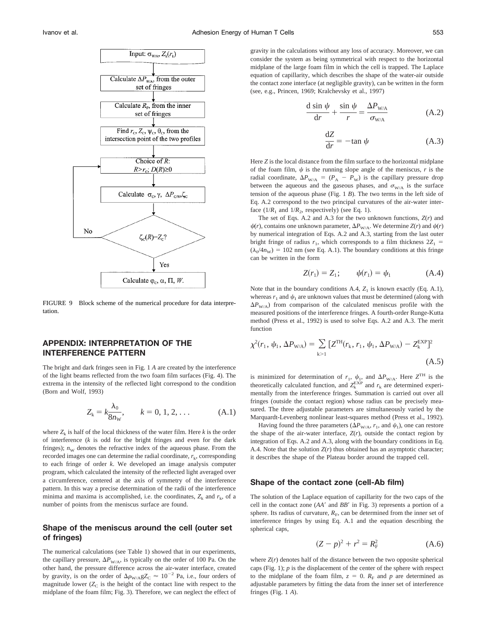

FIGURE 9 Block scheme of the numerical procedure for data interpretation.

### **APPENDIX: INTERPRETATION OF THE INTERFERENCE PATTERN**

The bright and dark fringes seen in Fig. 1 *A* are created by the interference of the light beams reflected from the two foam film surfaces (Fig. 4). The extrema in the intensity of the reflected light correspond to the condition (Born and Wolf, 1993)

$$
Z_{k} = k \frac{\lambda_{0}}{8n_{w}}, \qquad k = 0, 1, 2, ... \qquad (A.1)
$$

where  $Z_k$  is half of the local thickness of the water film. Here  $k$  is the order of interference (*k* is odd for the bright fringes and even for the dark fringes);  $n_w$  denotes the refractive index of the aqueous phase. From the recorded images one can determine the radial coordinate,  $r_k$ , corresponding to each fringe of order *k*. We developed an image analysis computer program, which calculated the intensity of the reflected light averaged over a circumference, centered at the axis of symmetry of the interference pattern. In this way a precise determination of the radii of the interference minima and maxima is accomplished, i.e. the coordinates,  $Z_k$  and  $r_k$ , of a number of points from the meniscus surface are found.

### **Shape of the meniscus around the cell (outer set of fringes)**

The numerical calculations (see Table 1) showed that in our experiments, the capillary pressure,  $\Delta P_{\text{W/A}}$ , is typically on the order of 100 Pa. On the other hand, the pressure difference across the air-water interface, created by gravity, is on the order of  $\Delta\rho_{\rm W/A}$ g $Z_{\rm C}$   $\approx 10^{-2}$  Pa, i.e., four orders of magnitude lower  $(Z_C)$  is the height of the contact line with respect to the midplane of the foam film; Fig. 3). Therefore, we can neglect the effect of

gravity in the calculations without any loss of accuracy. Moreover, we can consider the system as being symmetrical with respect to the horizontal midplane of the large foam film in which the cell is trapped. The Laplace equation of capillarity, which describes the shape of the water-air outside the contact zone interface (at negligible gravity), can be written in the form (see, e.g., Princen, 1969; Kralchevsky et al., 1997)

$$
\frac{d \sin \psi}{dr} + \frac{\sin \psi}{r} = \frac{\Delta P_{\text{W/A}}}{\sigma_{\text{W/A}}} \tag{A.2}
$$

$$
\frac{\mathrm{d}Z}{\mathrm{d}r} = -\tan\psi\tag{A.3}
$$

Here *Z* is the local distance from the film surface to the horizontal midplane of the foam film,  $\psi$  is the running slope angle of the meniscus,  $r$  is the radial coordinate,  $\Delta P_{W/A} = (P_A - P_W)$  is the capillary pressure drop between the aqueous and the gaseous phases, and  $\sigma_{W/A}$  is the surface tension of the aqueous phase (Fig. 1 *B*). The two terms in the left side of Eq. A.2 correspond to the two principal curvatures of the air-water interface  $(1/R_1$  and  $1/R_2$ , respectively) (see Eq. 1).

The set of Eqs. A.2 and A.3 for the two unknown functions, *Z*(*r*) and  $\psi(r)$ , contains one unknown parameter,  $\Delta P_{W/A}$ . We determine *Z*(*r*) and  $\psi(r)$ by numerical integration of Eqs. A.2 and A.3, starting from the last outer bright fringe of radius  $r_1$ , which corresponds to a film thickness  $2Z_1 =$  $(\lambda_0/4n_{\rm W}) = 102$  nm (see Eq. A.1). The boundary conditions at this fringe can be written in the form

$$
Z(r_1) = Z_1; \qquad \psi(r_1) = \psi_1 \tag{A.4}
$$

Note that in the boundary conditions  $A.4$ ,  $Z_1$  is known exactly (Eq. A.1), whereas  $r_1$  and  $\psi_1$  are unknown values that must be determined (along with  $\Delta P_{W/A}$ ) from comparison of the calculated meniscus profile with the measured positions of the interference fringes. A fourth-order Runge-Kutta method (Press et al., 1992) is used to solve Eqs. A.2 and A.3. The merit function

$$
\chi^{2}(r_{1}, \psi_{1}, \Delta P_{W/A}) = \sum_{k>1} [Z^{TH}(r_{k}, r_{1}, \psi_{1}, \Delta P_{W/A}) - Z_{k}^{EXP}]^{2}
$$
\n(A.5)

is minimized for determination of  $r_1$ ,  $\psi_1$ , and  $\Delta P_{W/A}$ . Here  $Z^{TH}$  is the theoretically calculated function, and  $Z_k^{\text{EXP}}$  and  $r_k$  are determined experimentally from the interference fringes. Summation is carried out over all fringes (outside the contact region) whose radius can be precisely measured. The three adjustable parameters are simultaneously varied by the Marquardt-Levenberg nonlinear least-squares method (Press et al., 1992).

Having found the three parameters ( $\Delta P_{W/A}$ ,  $r_1$ , and  $\psi_1$ ), one can restore the shape of the air-water interface,  $Z(r)$ , outside the contact region by integration of Eqs. A.2 and A.3, along with the boundary conditions in Eq. A.4. Note that the solution  $Z(r)$  thus obtained has an asymptotic character; it describes the shape of the Plateau border around the trapped cell.

#### **Shape of the contact zone (cell-Ab film)**

The solution of the Laplace equation of capillarity for the two caps of the cell in the contact zone (AA<sup> $\prime$ </sup> and BB<sup> $\prime$ </sup> in Fig. 3) represents a portion of a sphere. Its radius of curvature,  $R_F$ , can be determined from the inner set of interference fringes by using Eq. A.1 and the equation describing the spherical caps,

$$
(Z - p)^2 + r^2 = R_F^2
$$
 (A.6)

where  $Z(r)$  denotes half of the distance between the two opposite spherical caps (Fig. 1); *p* is the displacement of the center of the sphere with respect to the midplane of the foam film,  $z = 0$ .  $R_F$  and  $p$  are determined as adjustable parameters by fitting the data from the inner set of interference fringes (Fig. 1 *A*).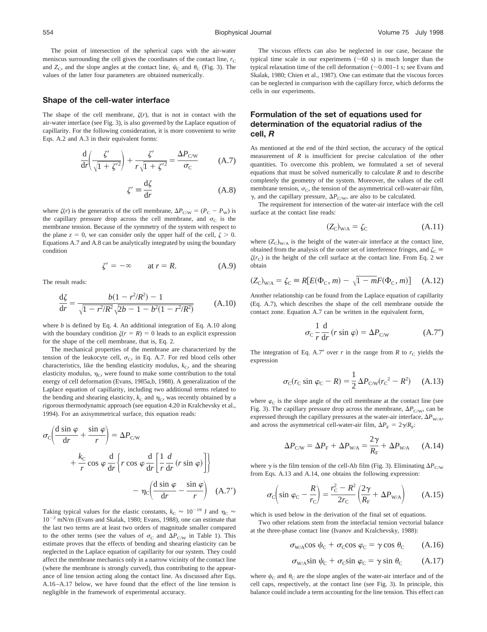The point of intersection of the spherical caps with the air-water meniscus surrounding the cell gives the coordinates of the contact line,  $r<sub>C</sub>$ and  $Z_C$ , and the slope angles at the contact line,  $\psi_C$  and  $\theta_C$  (Fig. 3). The values of the latter four parameters are obtained numerically.

#### **Shape of the cell-water interface**

The shape of the cell membrane,  $\zeta(r)$ , that is not in contact with the air-water interface (see Fig. 3), is also governed by the Laplace equation of capillarity. For the following consideration, it is more convenient to write Eqs. A.2 and A.3 in their equivalent forms:

$$
\frac{\mathrm{d}}{\mathrm{d}r} \left( \frac{\zeta'}{\sqrt{1 + {\zeta'}^2}} \right) + \frac{\zeta'}{r\sqrt{1 + {\zeta'}^2}} = \frac{\Delta P_{\rm CW}}{\sigma_{\rm C}} \tag{A.7}
$$

$$
\zeta' \equiv \frac{\mathrm{d}\zeta}{\mathrm{d}r} \tag{A.8}
$$

where  $\zeta(r)$  is the generatrix of the cell membrane,  $\Delta P_{\text{C/W}} = (P_{\text{C}} - P_{\text{W}})$  is the capillary pressure drop across the cell membrane, and  $\sigma_{\text{C}}$  is the membrane tension. Because of the symmetry of the system with respect to the plane  $z = 0$ , we can consider only the upper half of the cell,  $\zeta > 0$ . Equations A.7 and A.8 can be analytically integrated by using the boundary condition

$$
\zeta' = -\infty \qquad \text{at } r = R. \tag{A.9}
$$

The result reads:

$$
\frac{d\zeta}{dr} = \frac{b(1 - r^2/R^2) - 1}{\sqrt{1 - r^2/R^2} \sqrt{2b - 1 - b^2(1 - r^2/R^2)}}
$$
(A.10)

where *b* is defined by Eq. 4. An additional integration of Eq. A.10 along with the boundary condition  $\zeta(r = R) = 0$  leads to an explicit expression for the shape of the cell membrane, that is, Eq. 2.

The mechanical properties of the membrane are characterized by the tension of the leukocyte cell,  $\sigma_C$ , in Eq. A.7. For red blood cells other characteristics, like the bending elasticity modulus,  $k<sub>C</sub>$ , and the shearing elasticity modulus,  $\eta_C$ , were found to make some contribution to the total energy of cell deformation (Evans, 1985a,b, 1988). A generalization of the Laplace equation of capillarity, including two additional terms related to the bending and shearing elasticity,  $k<sub>C</sub>$  and  $\eta<sub>C</sub>$ , was recently obtained by a rigorous thermodynamic approach (see equation 4.20 in Kralchevsky et al., 1994). For an axisymmetrical surface, this equation reads:

$$
\sigma_{\rm C} \left( \frac{d \sin \varphi}{dr} + \frac{\sin \varphi}{r} \right) = \Delta P_{\rm CW}
$$
  
+  $\frac{k_{\rm C}}{r} \cos \varphi \frac{d}{dr} \left\{ r \cos \varphi \frac{d}{dr} \left[ \frac{1}{r} \frac{d}{dr} (r \sin \varphi) \right] \right\}$   
-  $\eta_{\rm C} \left( \frac{d \sin \varphi}{dr} - \frac{\sin \varphi}{r} \right) \quad (A.7')$ 

Taking typical values for the elastic constants,  $k_C \approx 10^{-19}$  J and  $\eta_C \approx$  $10^{-2}$  mN/m (Evans and Skalak, 1980; Evans, 1988), one can estimate that the last two terms are at least two orders of magnitude smaller compared to the other terms (see the values of  $\sigma_{\rm C}$  and  $\Delta P_{\rm C/W}$  in Table 1). This estimate proves that the effects of bending and shearing elasticity can be neglected in the Laplace equation of capillarity for our system. They could affect the membrane mechanics only in a narrow vicinity of the contact line (where the membrane is strongly curved), thus contributing to the appearance of line tension acting along the contact line. As discussed after Eqs. A.16–A.17 below, we have found that the effect of the line tension is negligible in the framework of experimental accuracy.

The viscous effects can also be neglected in our case, because the typical time scale in our experiments ( $\sim 60$  s) is much longer than the typical relaxation time of the cell deformation  $(\sim 0.001-1$  s; see Evans and Skalak, 1980; Chien et al., 1987). One can estimate that the viscous forces can be neglected in comparison with the capillary force, which deforms the cells in our experiments.

### **Formulation of the set of equations used for determination of the equatorial radius of the cell,** *R*

As mentioned at the end of the third section, the accuracy of the optical measurement of *R* is insufficient for precise calculation of the other quantities. To overcome this problem, we formulated a set of several equations that must be solved numerically to calculate *R* and to describe completely the geometry of the system. Moreover, the values of the cell membrane tension,  $\sigma_{\rm C}$ , the tension of the asymmetrical cell-water-air film,  $\gamma$ , and the capillary pressure,  $\Delta P_{\text{C/W}}$ , are also to be calculated.

The requirement for intersection of the water-air interface with the cell surface at the contact line reads:

$$
(Z_{\rm C})_{\rm W/A} = \zeta_{\rm C} \tag{A.11}
$$

where  $(Z_C)_{W/A}$  is the height of the water-air interface at the contact line, obtained from the analysis of the outer set of interference fringes, and  $\zeta_c \equiv$  $\zeta(r_C)$  is the height of the cell surface at the contact line. From Eq. 2 we obtain

$$
(Z_{\rm C})_{\rm W/A} = \zeta_{\rm C} \equiv R[E(\Phi_{\rm C}, m) - \sqrt{1 - m}F(\Phi_{\rm C}, m)] \quad \text{(A.12)}
$$

Another relationship can be found from the Laplace equation of capillarity (Eq. A.7), which describes the shape of the cell membrane outside the contact zone. Equation A.7 can be written in the equivalent form,

$$
\sigma_{\rm C} \frac{1}{r} \frac{\mathrm{d}}{\mathrm{d}r} \left( r \sin \varphi \right) = \Delta P_{\rm CW} \tag{A.7'}
$$

The integration of Eq. A.7" over  $r$  in the range from  $R$  to  $r<sub>C</sub>$  yields the expression

$$
\sigma_{\rm C}(r_{\rm C} \sin \varphi_{\rm C} - R) = \frac{1}{2} \Delta P_{\rm CW}(r_{\rm C}^2 - R^2) \quad \text{(A.13)}
$$

where  $\varphi_C$  is the slope angle of the cell membrane at the contact line (see Fig. 3). The capillary pressure drop across the membrane,  $\Delta P_{\text{C/W}}$ , can be expressed through the capillary pressures at the water-air interface,  $\Delta P_{W/A}$ , and across the asymmetrical cell-water-air film,  $\Delta P_{\rm F} = 2\gamma/R_{\rm F}$ :

$$
\Delta P_{\rm CW} = \Delta P_{\rm F} + \Delta P_{\rm W/A} = \frac{2\gamma}{R_{\rm F}} + \Delta P_{\rm W/A} \qquad \text{(A.14)}
$$

where  $\gamma$  is the film tension of the cell-Ab film (Fig. 3). Eliminating  $\Delta P_{\text{C/W}}$ from Eqs. A.13 and A.14, one obtains the following expression:

$$
\sigma_{\rm C} \left( \sin \varphi_{\rm C} - \frac{R}{r_{\rm C}} \right) = \frac{r_{\rm C}^2 - R^2}{2r_{\rm C}} \left( \frac{2\gamma}{R_{\rm F}} + \Delta P_{\rm W/A} \right) \tag{A.15}
$$

which is used below in the derivation of the final set of equations.

Two other relations stem from the interfacial tension vectorial balance at the three-phase contact line (Ivanov and Kralchevsky, 1988):

$$
\sigma_{\text{W/A}} \cos \psi_{\text{C}} + \sigma_{\text{C}} \cos \varphi_{\text{C}} = \gamma \cos \theta_{\text{C}} \qquad (A.16)
$$

$$
\sigma_{\text{W/A}} \sin \psi_{\text{C}} + \sigma_{\text{C}} \sin \varphi_{\text{C}} = \gamma \sin \theta_{\text{C}} \qquad (A.17)
$$

where  $\psi_C$  and  $\theta_C$  are the slope angles of the water-air interface and of the cell caps, respectively, at the contact line (see Fig. 3). In principle, this balance could include a term accounting for the line tension. This effect can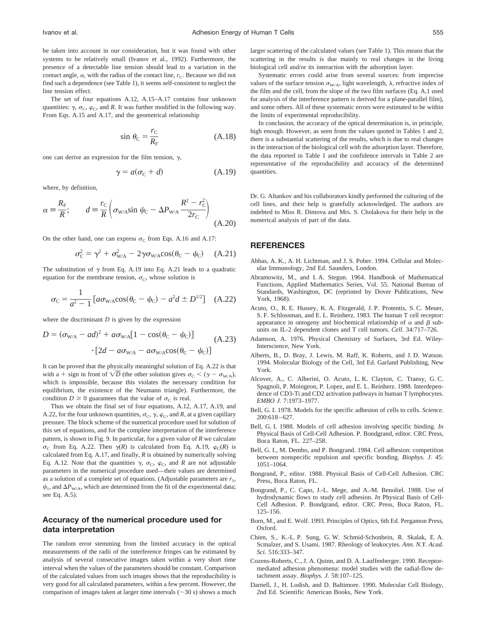be taken into account in our consideration, but it was found with other systems to be relatively small (Ivanov et al., 1992). Furthermore, the presence of a detectable line tension should lead to a variation in the contact angle,  $\alpha$ , with the radius of the contact line,  $r_{\rm C}$ . Because we did not find such a dependence (see Table 1), it seems self-consistent to neglect the line tension effect.

The set of four equations A.12, A.15–A.17 contains four unknown quantities:  $\gamma$ ,  $\sigma_C$ ,  $\varphi_C$ , and *R*. It was further modified in the following way. From Eqs. A.15 and A.17, and the geometrical relationship

$$
\sin \theta_{\rm C} = \frac{r_{\rm C}}{R_{\rm F}} \tag{A.18}
$$

one can derive an expression for the film tension,  $\gamma$ ,

$$
\gamma = a(\sigma_{\rm C} + d) \tag{A.19}
$$

where, by definition,

$$
\alpha = \frac{R_{\rm F}}{R}; \qquad d = \frac{r_{\rm C}}{R} \left( \sigma_{\rm W/A} \sin \psi_{\rm C} - \Delta P_{\rm W/A} \frac{R^2 - r_{\rm C}^2}{2r_{\rm C}} \right) \tag{A.20}
$$

On the other hand, one can express  $\sigma_C$  from Eqs. A.16 and A.17:

$$
\sigma_{\rm C}^2 = \gamma^2 + \sigma_{\rm W/A}^2 - 2\gamma \sigma_{\rm W/A} \cos(\theta_{\rm C} - \psi_{\rm C}) \quad \text{(A.21)}
$$

The substitution of  $\gamma$  from Eq. A.19 into Eq. A.21 leads to a quadratic equation for the membrane tension,  $\sigma_C$ , whose solution is

$$
\sigma_{\rm C} = \frac{1}{a^2 - 1} \left[ a \sigma_{\rm W/A} \cos(\theta_{\rm C} - \psi_{\rm C}) - a^2 d \pm D^{1/2} \right] \quad (A.22)
$$

where the discriminant *D* is given by the expression

$$
D = (\sigma_{\text{W/A}} - ad)^2 + a\sigma_{\text{W/A}}[1 - \cos(\theta_{\text{C}} - \psi_{\text{C}})]
$$
  
. 
$$
\cdot [2d - a\sigma_{\text{W/A}} - a\sigma_{\text{W/A}}\cos(\theta_{\text{C}} - \psi_{\text{C}})]
$$
 (A.23)

It can be proved that the physically meaningful solution of Eq. A.22 is that with a + sign in front of  $\sqrt{D}$  (the other solution gives  $\sigma_C < (\gamma - \sigma_{W/A})$ , which is impossible, because this violates the necessary condition for equilibrium, the existence of the Neumann triangle). Furthermore, the condition  $D \ge 0$  guarantees that the value of  $\sigma_C$  is real.

Thus we obtain the final set of four equations, A.12, A.17, A.19, and A.22, for the four unknown quantities,  $\sigma_{\rm C}$ ,  $\gamma$ ,  $\varphi_{\rm C}$ , and *R*, at a given capillary pressure. The block scheme of the numerical procedure used for solution of this set of equations, and for the complete interpretation of the interference pattern, is shown in Fig. 9. In particular, for a given value of *R* we calculate  $\sigma_C$  from Eq. A.22. Then  $\gamma(R)$  is calculated from Eq. A.19,  $\varphi_C(R)$  is calculated from Eq. A.17, and finally, *R* is obtained by numerically solving Eq. A.12. Note that the quantities  $\gamma$ ,  $\sigma_C$ ,  $\varphi_C$ , and *R* are not adjustable parameters in the numerical procedure used—their values are determined as a solution of a complete set of equations. (Adjustable parameters are  $r_1$ ,  $\psi_1$ , and  $\Delta P_{\text{W/A}}$ , which are determined from the fit of the experimental data; see Eq. A.5).

# **Accuracy of the numerical procedure used for data interpretation**

The random error stemming from the limited accuracy in the optical measurements of the radii of the interference fringes can be estimated by analysis of several consecutive images taken within a very short time interval when the values of the parameters should be constant. Comparison of the calculated values from such images shows that the reproducibility is very good for all calculated parameters, within a few percent. However, the comparison of images taken at larger time intervals  $(\sim 30 \text{ s})$  shows a much larger scattering of the calculated values (see Table 1). This means that the scattering in the results is due mainly to real changes in the living biological cell and/or its interaction with the adsorption layer.

Systematic errors could arise from several sources: from imprecise values of the surface tension  $\sigma_{W/A}$ , light wavelength,  $\lambda$ , refractive index of the film and the cell, from the slope of the two film surfaces (Eq. A.1 used for analysis of the interference pattern is derived for a plane-parallel film), and some others. All of these systematic errors were estimated to be within the limits of experimental reproducibility.

In conclusion, the accuracy of the optical determination is, in principle, high enough. However, as seen from the values quoted in Tables 1 and 2, there is a substantial scattering of the results, which is due to real changes in the interaction of the biological cell with the adsorption layer. Therefore, the data reported in Table 1 and the confidence intervals in Table 2 are representative of the reproducibility and accuracy of the determined quantities.

Dr. G. Altankov and his collaborators kindly performed the culturing of the cell lines, and their help is gratefully acknowledged. The authors are indebted to Miss R. Dimova and Mrs. S. Cholakova for their help in the numerical analysis of part of the data.

#### **REFERENCES**

- Abbas, A. K., A. H. Lichtman, and J. S. Pober. 1994. Cellular and Molecular Immunology, 2nd Ed. Saunders, London.
- Abramowitz, M., and I. A. Stegun. 1964. Handbook of Mathematical Functions, Applied Mathematics Series, Vol. 55. National Bureau of Standards, Washington, DC (reprinted by Dover Publications, New York, 1968).
- Acuto, O., R. E. Hussey, K. A. Fitzgerald, J. P. Protentis, S. C. Meuer, S. F. Schlossman, and E. L. Reinherz. 1983. The human T cell receptor: appearance in ontogeny and biochemical relationship of  $\alpha$  and  $\beta$  subunits on IL-2 dependent clones and T cell tumors. *Cell.* 34:717–726.
- Adamson, A. 1976. Physical Chemistry of Surfaces, 3rd Ed. Wiley-Interscience, New York.
- Alberts, B., D. Bray, J. Lewis, M. Raff, K. Roberts, and J. D. Watson. 1994. Molecular Biology of the Cell, 3rd Ed. Garland Publishing, New York.
- Alcover, A., C. Alberini, O. Acuto, L. K. Clayton, C. Transy, G. C. Spagnoli, P. Moingeon, P. Lopez, and E. L. Reinherz. 1988. Interdependence of CD3-Ti and CD2 activation pathways in human T lymphocytes. *EMBO J.* 7:1973–1977.
- Bell, G. I. 1978. Models for the specific adhesion of cells to cells. *Science.* 200:618–627.
- Bell, G. I. 1988. Models of cell adhesion involving specific binding. *In* Physical Basis of Cell-Cell Adhesion. P. Bondgrand, editor. CRC Press, Boca Raton, FL. 227–258.
- Bell, G. I., M. Dembo, and P. Bongrand. 1984. Cell adhesion: competition between nonspecific repulsion and specific bonding. *Biophys. J.* 45: 1051–1064.
- Bongrand, P., editor. 1988. Physical Basis of Cell-Cell Adhesion. CRC Press, Boca Raton, FL.
- Bongrand, P., C. Capo, J.-L. Mege, and A.-M. Benoliel. 1988. Use of hydrodynamic flows to study cell adhesion. *In* Physical Basis of Cell-Cell Adhesion. P. Bondgrand, editor. CRC Press, Boca Raton, FL. 125–156.
- Born, M., and E. Wolf. 1993. Principles of Optics, 6th Ed. Pergamon Press, Oxford.
- Chien, S., K.-L. P. Sung, G. W. Schmid-Schonbein, R. Skalak, E. A. Scmalzer, and S. Usami. 1987. Rheology of leukocytes. *Ann. N.Y. Acad. Sci.* 516:333–347.
- Cozens-Roberts, C., J. A. Quinn, and D. A. Lauffenberger. 1990. Receptormediated adhesion phenomena: model studies with the radial-flow detachment assay. *Biophys. J.* 58:107–125.
- Darnell, J., H. Lodish, and D. Baltimore. 1990. Molecular Cell Biology, 2nd Ed. Scientific American Books, New York.